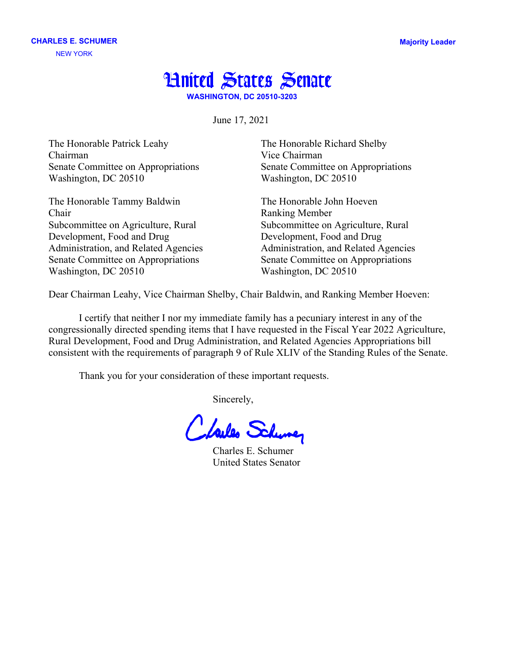## **Hnited States Senate**

**WASHINGTON, DC 20510-3203**

June 17, 2021

The Honorable Patrick Leahy The Honorable Richard Shelby Chairman Vice Chairman Senate Committee on Appropriations Senate Committee on Appropriations Washington, DC 20510 Washington, DC 20510

The Honorable Tammy Baldwin The Honorable John Hoeven Chair Ranking Member Subcommittee on Agriculture, Rural Subcommittee on Agriculture, Rural Development, Food and Drug Development, Food and Drug Senate Committee on Appropriations Senate Committee on Appropriations Washington, DC 20510 Washington, DC 20510

Administration, and Related Agencies Administration, and Related Agencies

Dear Chairman Leahy, Vice Chairman Shelby, Chair Baldwin, and Ranking Member Hoeven:

I certify that neither I nor my immediate family has a pecuniary interest in any of the congressionally directed spending items that I have requested in the Fiscal Year 2022 Agriculture, Rural Development, Food and Drug Administration, and Related Agencies Appropriations bill consistent with the requirements of paragraph 9 of Rule XLIV of the Standing Rules of the Senate.

Thank you for your consideration of these important requests.

Sincerely,

Clarles Schuner

 Charles E. Schumer United States Senator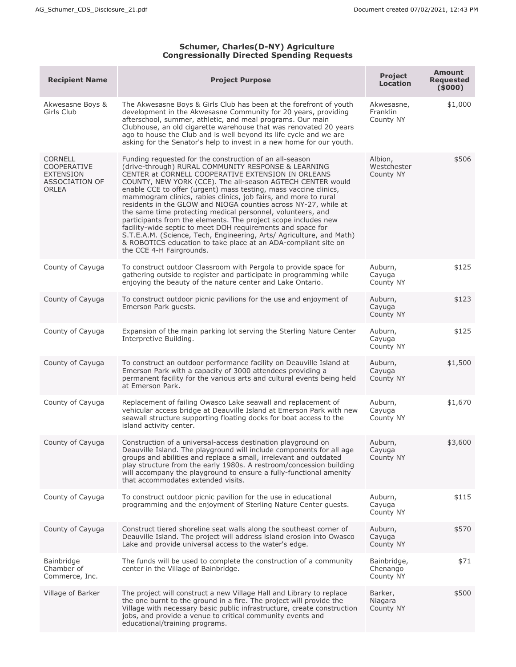## **Schumer, Charles(D-NY) Agriculture Congressionally Directed Spending Requests**

| <b>Recipient Name</b>                                                                      | <b>Project Purpose</b>                                                                                                                                                                                                                                                                                                                                                                                                                                                                                                                                                                                                                                                                                                                                                                                             | <b>Project</b><br><b>Location</b>    | <b>Amount</b><br><b>Requested</b><br>(5000) |
|--------------------------------------------------------------------------------------------|--------------------------------------------------------------------------------------------------------------------------------------------------------------------------------------------------------------------------------------------------------------------------------------------------------------------------------------------------------------------------------------------------------------------------------------------------------------------------------------------------------------------------------------------------------------------------------------------------------------------------------------------------------------------------------------------------------------------------------------------------------------------------------------------------------------------|--------------------------------------|---------------------------------------------|
| Akwesasne Boys &<br>Girls Club                                                             | The Akwesasne Boys & Girls Club has been at the forefront of youth<br>development in the Akwesasne Community for 20 years, providing<br>afterschool, summer, athletic, and meal programs. Our main<br>Clubhouse, an old cigarette warehouse that was renovated 20 years<br>ago to house the Club and is well beyond its life cycle and we are<br>asking for the Senator's help to invest in a new home for our youth.                                                                                                                                                                                                                                                                                                                                                                                              | Akwesasne,<br>Franklin<br>County NY  | \$1,000                                     |
| <b>CORNELL</b><br><b>COOPERATIVE</b><br><b>EXTENSION</b><br>ASSOCIATION OF<br><b>ORLEA</b> | Funding requested for the construction of an all-season<br>(drive-through) RURAL COMMUNITY RESPONSE & LEARNING<br>CENTER at CORNELL COOPERATIVE EXTENSION IN ORLEANS<br>COUNTY, NEW YORK (CCE). The all-season AGTECH CENTER would<br>enable CCE to offer (urgent) mass testing, mass vaccine clinics,<br>mammogram clinics, rabies clinics, job fairs, and more to rural<br>residents in the GLOW and NIOGA counties across NY-27, while at<br>the same time protecting medical personnel, volunteers, and<br>participants from the elements. The project scope includes new<br>facility-wide septic to meet DOH requirements and space for<br>S.T.E.A.M. (Science, Tech, Engineering, Arts/ Agriculture, and Math)<br>& ROBOTICS education to take place at an ADA-compliant site on<br>the CCE 4-H Fairgrounds. | Albion,<br>Westchester<br>County NY  | \$506                                       |
| County of Cayuga                                                                           | To construct outdoor Classroom with Pergola to provide space for<br>gathering outside to register and participate in programming while<br>enjoying the beauty of the nature center and Lake Ontario.                                                                                                                                                                                                                                                                                                                                                                                                                                                                                                                                                                                                               | Auburn,<br>Cayuga<br>County NY       | \$125                                       |
| County of Cayuga                                                                           | To construct outdoor picnic pavilions for the use and enjoyment of<br>Emerson Park guests.                                                                                                                                                                                                                                                                                                                                                                                                                                                                                                                                                                                                                                                                                                                         | Auburn,<br>Cayuga<br>County NY       | \$123                                       |
| County of Cayuga                                                                           | Expansion of the main parking lot serving the Sterling Nature Center<br>Interpretive Building.                                                                                                                                                                                                                                                                                                                                                                                                                                                                                                                                                                                                                                                                                                                     | Auburn,<br>Cayuga<br>County NY       | \$125                                       |
| County of Cayuga                                                                           | To construct an outdoor performance facility on Deauville Island at<br>Emerson Park with a capacity of 3000 attendees providing a<br>permanent facility for the various arts and cultural events being held<br>at Emerson Park.                                                                                                                                                                                                                                                                                                                                                                                                                                                                                                                                                                                    | Auburn,<br>Cayuga<br>County NY       | \$1,500                                     |
| County of Cayuga                                                                           | Replacement of failing Owasco Lake seawall and replacement of<br>vehicular access bridge at Deauville Island at Emerson Park with new<br>seawall structure supporting floating docks for boat access to the<br>island activity center.                                                                                                                                                                                                                                                                                                                                                                                                                                                                                                                                                                             | Auburn,<br>Cayuga<br>County NY       | \$1,670                                     |
| County of Cayuga                                                                           | Construction of a universal-access destination playground on<br>Deauville Island. The playground will include components for all age<br>groups and abilities and replace a small, irrelevant and outdated<br>play structure from the early 1980s. A restroom/concession building<br>will accompany the playground to ensure a fully-functional amenity<br>that accommodates extended visits.                                                                                                                                                                                                                                                                                                                                                                                                                       | Auburn,<br>Cayuga<br>County NY       | \$3,600                                     |
| County of Cayuga                                                                           | To construct outdoor picnic pavilion for the use in educational<br>programming and the enjoyment of Sterling Nature Center guests.                                                                                                                                                                                                                                                                                                                                                                                                                                                                                                                                                                                                                                                                                 | Auburn,<br>Cayuga<br>County NY       | \$115                                       |
| County of Cayuga                                                                           | Construct tiered shoreline seat walls along the southeast corner of<br>Deauville Island. The project will address island erosion into Owasco<br>Lake and provide universal access to the water's edge.                                                                                                                                                                                                                                                                                                                                                                                                                                                                                                                                                                                                             | Auburn,<br>Cayuga<br>County NY       | \$570                                       |
| Bainbridge<br>Chamber of<br>Commerce, Inc.                                                 | The funds will be used to complete the construction of a community<br>center in the Village of Bainbridge.                                                                                                                                                                                                                                                                                                                                                                                                                                                                                                                                                                                                                                                                                                         | Bainbridge,<br>Chenango<br>County NY | \$71                                        |
| Village of Barker                                                                          | The project will construct a new Village Hall and Library to replace<br>the one burnt to the ground in a fire. The project will provide the<br>Village with necessary basic public infrastructure, create construction<br>jobs, and provide a venue to critical community events and<br>educational/training programs.                                                                                                                                                                                                                                                                                                                                                                                                                                                                                             | Barker,<br>Niagara<br>County NY      | \$500                                       |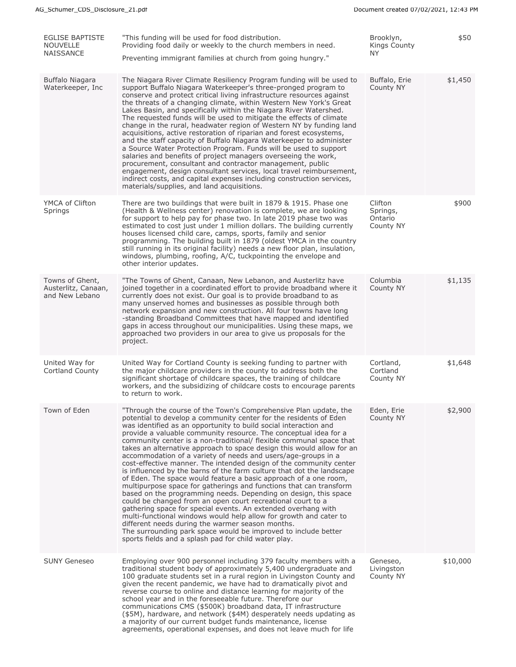| <b>EGLISE BAPTISTE</b><br><b>NOUVELLE</b><br><b>NAISSANCE</b> | "This funding will be used for food distribution.<br>Providing food daily or weekly to the church members in need.<br>Preventing immigrant families at church from going hungry."                                                                                                                                                                                                                                                                                                                                                                                                                                                                                                                                                                                                                                                                                                                                                                                                                                                                                                                                                                                                                                                             | Brooklyn,<br>Kings County<br>NY.            | \$50     |
|---------------------------------------------------------------|-----------------------------------------------------------------------------------------------------------------------------------------------------------------------------------------------------------------------------------------------------------------------------------------------------------------------------------------------------------------------------------------------------------------------------------------------------------------------------------------------------------------------------------------------------------------------------------------------------------------------------------------------------------------------------------------------------------------------------------------------------------------------------------------------------------------------------------------------------------------------------------------------------------------------------------------------------------------------------------------------------------------------------------------------------------------------------------------------------------------------------------------------------------------------------------------------------------------------------------------------|---------------------------------------------|----------|
| Buffalo Niagara<br>Waterkeeper, Inc.                          | The Niagara River Climate Resiliency Program funding will be used to<br>support Buffalo Niagara Waterkeeper's three-pronged program to<br>conserve and protect critical living infrastructure resources against<br>the threats of a changing climate, within Western New York's Great<br>Lakes Basin, and specifically within the Niagara River Watershed.<br>The requested funds will be used to mitigate the effects of climate<br>change in the rural, headwater region of Western NY by funding land<br>acquisitions, active restoration of riparian and forest ecosystems,<br>and the staff capacity of Buffalo Niagara Waterkeeper to administer<br>a Source Water Protection Program. Funds will be used to support<br>salaries and benefits of project managers overseeing the work,<br>procurement, consultant and contractor management, public<br>engagement, design consultant services, local travel reimbursement,<br>indirect costs, and capital expenses including construction services,<br>materials/supplies, and land acquisitions.                                                                                                                                                                                       | Buffalo, Erie<br>County NY                  | \$1,450  |
| YMCA of Clifton<br>Springs                                    | There are two buildings that were built in 1879 & 1915. Phase one<br>(Health & Wellness center) renovation is complete, we are looking<br>for support to help pay for phase two. In late 2019 phase two was<br>estimated to cost just under 1 million dollars. The building currently<br>houses licensed child care, camps, sports, family and senior<br>programming. The building built in 1879 (oldest YMCA in the country<br>still running in its original facility) needs a new floor plan, insulation,<br>windows, plumbing, roofing, A/C, tuckpointing the envelope and<br>other interior updates.                                                                                                                                                                                                                                                                                                                                                                                                                                                                                                                                                                                                                                      | Clifton<br>Springs,<br>Ontario<br>County NY | \$900    |
| Towns of Ghent,<br>Austerlitz, Canaan,<br>and New Lebano      | "The Towns of Ghent, Canaan, New Lebanon, and Austerlitz have<br>joined together in a coordinated effort to provide broadband where it<br>currently does not exist. Our goal is to provide broadband to as<br>many unserved homes and businesses as possible through both<br>network expansion and new construction. All four towns have long<br>-standing Broadband Committees that have mapped and identified<br>gaps in access throughout our municipalities. Using these maps, we<br>approached two providers in our area to give us proposals for the<br>project.                                                                                                                                                                                                                                                                                                                                                                                                                                                                                                                                                                                                                                                                        | Columbia<br>County NY                       | \$1,135  |
| United Way for<br>Cortland County                             | United Way for Cortland County is seeking funding to partner with<br>the major childcare providers in the county to address both the<br>significant shortage of childcare spaces, the training of childcare<br>workers, and the subsidizing of childcare costs to encourage parents<br>to return to work.                                                                                                                                                                                                                                                                                                                                                                                                                                                                                                                                                                                                                                                                                                                                                                                                                                                                                                                                     | Cortland,<br>Cortland<br>County NY          | \$1,648  |
| Town of Eden                                                  | "Through the course of the Town's Comprehensive Plan update, the<br>potential to develop a community center for the residents of Eden<br>was identified as an opportunity to build social interaction and<br>provide a valuable community resource. The conceptual idea for a<br>community center is a non-traditional/ flexible communal space that<br>takes an alternative approach to space design this would allow for an<br>accommodation of a variety of needs and users/age-groups in a<br>cost-effective manner. The intended design of the community center<br>is influenced by the barns of the farm culture that dot the landscape<br>of Eden. The space would feature a basic approach of a one room,<br>multipurpose space for gatherings and functions that can transform<br>based on the programming needs. Depending on design, this space<br>could be changed from an open court recreational court to a<br>gathering space for special events. An extended overhang with<br>multi-functional windows would help allow for growth and cater to<br>different needs during the warmer season months.<br>The surrounding park space would be improved to include better<br>sports fields and a splash pad for child water play. | Eden, Erie<br>County NY                     | \$2,900  |
| <b>SUNY Geneseo</b>                                           | Employing over 900 personnel including 379 faculty members with a<br>traditional student body of approximately 5,400 undergraduate and<br>100 graduate students set in a rural region in Livingston County and<br>given the recent pandemic, we have had to dramatically pivot and<br>reverse course to online and distance learning for majority of the<br>school year and in the foreseeable future. Therefore our<br>communications CMS (\$500K) broadband data, IT infrastructure<br>(\$5M), hardware, and network (\$4M) desperately needs updating as<br>a majority of our current budget funds maintenance, license<br>agreements, operational expenses, and does not leave much for life                                                                                                                                                                                                                                                                                                                                                                                                                                                                                                                                              | Geneseo,<br>Livingston<br>County NY         | \$10,000 |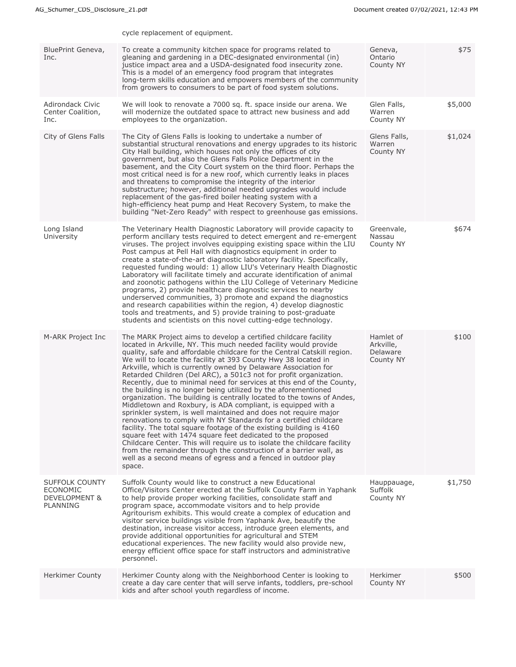|                                                                | cycle replacement of equipment.                                                                                                                                                                                                                                                                                                                                                                                                                                                                                                                                                                                                                                                                                                                                                                                                                                                                                                                                                                                                                                                                                                                                                                                        |                                                 |         |
|----------------------------------------------------------------|------------------------------------------------------------------------------------------------------------------------------------------------------------------------------------------------------------------------------------------------------------------------------------------------------------------------------------------------------------------------------------------------------------------------------------------------------------------------------------------------------------------------------------------------------------------------------------------------------------------------------------------------------------------------------------------------------------------------------------------------------------------------------------------------------------------------------------------------------------------------------------------------------------------------------------------------------------------------------------------------------------------------------------------------------------------------------------------------------------------------------------------------------------------------------------------------------------------------|-------------------------------------------------|---------|
| BluePrint Geneva,<br>Inc.                                      | To create a community kitchen space for programs related to<br>gleaning and gardening in a DEC-designated environmental (in)<br>justice impact area and a USDA-designated food insecurity zone.<br>This is a model of an emergency food program that integrates<br>long-term skills education and empowers members of the community<br>from growers to consumers to be part of food system solutions.                                                                                                                                                                                                                                                                                                                                                                                                                                                                                                                                                                                                                                                                                                                                                                                                                  | Geneva,<br>Ontario<br>County NY                 | \$75    |
| Adirondack Civic<br>Center Coalition,<br>Inc.                  | We will look to renovate a 7000 sq. ft. space inside our arena. We<br>will modernize the outdated space to attract new business and add<br>employees to the organization.                                                                                                                                                                                                                                                                                                                                                                                                                                                                                                                                                                                                                                                                                                                                                                                                                                                                                                                                                                                                                                              | Glen Falls,<br>Warren<br>County NY              | \$5,000 |
| City of Glens Falls                                            | The City of Glens Falls is looking to undertake a number of<br>substantial structural renovations and energy upgrades to its historic<br>City Hall building, which houses not only the offices of city<br>government, but also the Glens Falls Police Department in the<br>basement, and the City Court system on the third floor. Perhaps the<br>most critical need is for a new roof, which currently leaks in places<br>and threatens to compromise the integrity of the interior<br>substructure; however, additional needed upgrades would include<br>replacement of the gas-fired boiler heating system with a<br>high-efficiency heat pump and Heat Recovery System, to make the<br>building "Net-Zero Ready" with respect to greenhouse gas emissions.                                                                                                                                                                                                                                                                                                                                                                                                                                                         | Glens Falls,<br>Warren<br>County NY             | \$1,024 |
| Long Island<br>University                                      | The Veterinary Health Diagnostic Laboratory will provide capacity to<br>perform ancillary tests required to detect emergent and re-emergent<br>viruses. The project involves equipping existing space within the LIU<br>Post campus at Pell Hall with diagnostics equipment in order to<br>create a state-of-the-art diagnostic laboratory facility. Specifically,<br>requested funding would: 1) allow LIU's Veterinary Health Diagnostic<br>Laboratory will facilitate timely and accurate identification of animal<br>and zoonotic pathogens within the LIU College of Veterinary Medicine<br>programs, 2) provide healthcare diagnostic services to nearby<br>underserved communities, 3) promote and expand the diagnostics<br>and research capabilities within the region, 4) develop diagnostic<br>tools and treatments, and 5) provide training to post-graduate<br>students and scientists on this novel cutting-edge technology.                                                                                                                                                                                                                                                                             | Greenvale,<br>Nassau<br>County NY               | \$674   |
| M-ARK Project Inc                                              | The MARK Project aims to develop a certified childcare facility<br>located in Arkville, NY. This much needed facility would provide<br>quality, safe and affordable childcare for the Central Catskill region.<br>We will to locate the facility at 393 County Hwy 38 located in<br>Arkville, which is currently owned by Delaware Association for<br>Retarded Children (Del ARC), a 501c3 not for profit organization.<br>Recently, due to minimal need for services at this end of the County,<br>the building is no longer being utilized by the aforementioned<br>organization. The building is centrally located to the towns of Andes,<br>Middletown and Roxbury, is ADA compliant, is equipped with a<br>sprinkler system, is well maintained and does not require major<br>renovations to comply with NY Standards for a certified childcare<br>facility. The total square footage of the existing building is 4160<br>square feet with 1474 square feet dedicated to the proposed<br>Childcare Center. This will require us to isolate the childcare facility<br>from the remainder through the construction of a barrier wall, as<br>well as a second means of egress and a fenced in outdoor play<br>space. | Hamlet of<br>Arkville,<br>Delaware<br>County NY | \$100   |
| SUFFOLK COUNTY<br><b>ECONOMIC</b><br>DEVELOPMENT &<br>PLANNING | Suffolk County would like to construct a new Educational<br>Office/Visitors Center erected at the Suffolk County Farm in Yaphank<br>to help provide proper working facilities, consolidate staff and<br>program space, accommodate visitors and to help provide<br>Agritourism exhibits. This would create a complex of education and<br>visitor service buildings visible from Yaphank Ave, beautify the<br>destination, increase visitor access, introduce green elements, and<br>provide additional opportunities for agricultural and STEM<br>educational experiences. The new facility would also provide new,<br>energy efficient office space for staff instructors and administrative<br>personnel.                                                                                                                                                                                                                                                                                                                                                                                                                                                                                                            | Hauppauage,<br>Suffolk<br>County NY             | \$1,750 |
| <b>Herkimer County</b>                                         | Herkimer County along with the Neighborhood Center is looking to<br>create a day care center that will serve infants, toddlers, pre-school<br>kids and after school youth regardless of income.                                                                                                                                                                                                                                                                                                                                                                                                                                                                                                                                                                                                                                                                                                                                                                                                                                                                                                                                                                                                                        | Herkimer<br>County NY                           | \$500   |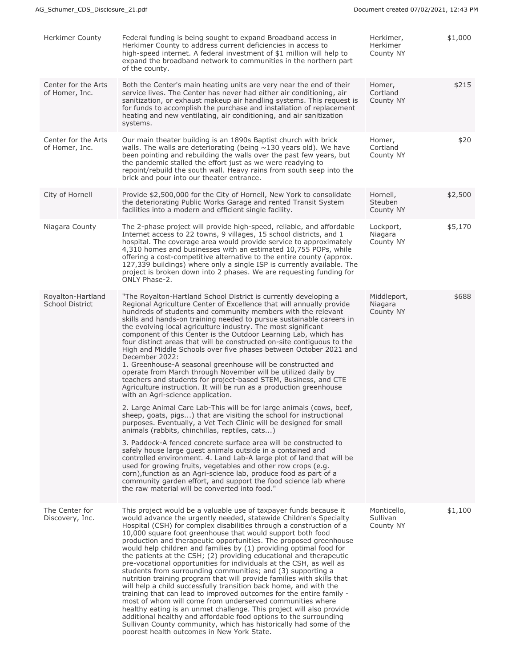| Herkimer County                             | Federal funding is being sought to expand Broadband access in<br>Herkimer County to address current deficiencies in access to<br>high-speed internet. A federal investment of \$1 million will help to<br>expand the broadband network to communities in the northern part<br>of the county.                                                                                                                                                                                                                                                                                                                                                                                                                                                                                                                                                                                                                                                                                                                                                                                                                                                                                          | Herkimer,<br>Herkimer<br>County NY   | \$1,000 |
|---------------------------------------------|---------------------------------------------------------------------------------------------------------------------------------------------------------------------------------------------------------------------------------------------------------------------------------------------------------------------------------------------------------------------------------------------------------------------------------------------------------------------------------------------------------------------------------------------------------------------------------------------------------------------------------------------------------------------------------------------------------------------------------------------------------------------------------------------------------------------------------------------------------------------------------------------------------------------------------------------------------------------------------------------------------------------------------------------------------------------------------------------------------------------------------------------------------------------------------------|--------------------------------------|---------|
| Center for the Arts<br>of Homer, Inc.       | Both the Center's main heating units are very near the end of their<br>service lives. The Center has never had either air conditioning, air<br>sanitization, or exhaust makeup air handling systems. This request is<br>for funds to accomplish the purchase and installation of replacement<br>heating and new ventilating, air conditioning, and air sanitization<br>systems.                                                                                                                                                                                                                                                                                                                                                                                                                                                                                                                                                                                                                                                                                                                                                                                                       | Homer,<br>Cortland<br>County NY      | \$215   |
| Center for the Arts<br>of Homer, Inc.       | Our main theater building is an 1890s Baptist church with brick<br>walls. The walls are deteriorating (being $\sim$ 130 years old). We have<br>been pointing and rebuilding the walls over the past few years, but<br>the pandemic stalled the effort just as we were readying to<br>repoint/rebuild the south wall. Heavy rains from south seep into the<br>brick and pour into our theater entrance.                                                                                                                                                                                                                                                                                                                                                                                                                                                                                                                                                                                                                                                                                                                                                                                | Homer,<br>Cortland<br>County NY      | \$20    |
| City of Hornell                             | Provide \$2,500,000 for the City of Hornell, New York to consolidate<br>the deteriorating Public Works Garage and rented Transit System<br>facilities into a modern and efficient single facility.                                                                                                                                                                                                                                                                                                                                                                                                                                                                                                                                                                                                                                                                                                                                                                                                                                                                                                                                                                                    | Hornell,<br>Steuben<br>County NY     | \$2,500 |
| Niagara County                              | The 2-phase project will provide high-speed, reliable, and affordable<br>Internet access to 22 towns, 9 villages, 15 school districts, and 1<br>hospital. The coverage area would provide service to approximately<br>4,310 homes and businesses with an estimated 10,755 POPs, while<br>offering a cost-competitive alternative to the entire county (approx.<br>127,339 buildings) where only a single ISP is currently available. The<br>project is broken down into 2 phases. We are requesting funding for<br>ONLY Phase-2.                                                                                                                                                                                                                                                                                                                                                                                                                                                                                                                                                                                                                                                      | Lockport,<br>Niagara<br>County NY    | \$5,170 |
| Royalton-Hartland<br><b>School District</b> | "The Royalton-Hartland School District is currently developing a<br>Regional Agriculture Center of Excellence that will annually provide<br>hundreds of students and community members with the relevant<br>skills and hands-on training needed to pursue sustainable careers in<br>the evolving local agriculture industry. The most significant<br>component of this Center is the Outdoor Learning Lab, which has<br>four distinct areas that will be constructed on-site contiguous to the<br>High and Middle Schools over five phases between October 2021 and<br>December 2022:<br>1. Greenhouse-A seasonal greenhouse will be constructed and<br>operate from March through November will be utilized daily by<br>teachers and students for project-based STEM, Business, and CTE<br>Agriculture instruction. It will be run as a production greenhouse<br>with an Agri-science application.<br>2. Large Animal Care Lab-This will be for large animals (cows, beef,                                                                                                                                                                                                           | Middleport,<br>Niagara<br>County NY  | \$688   |
|                                             | sheep, goats, pigs) that are visiting the school for instructional<br>purposes. Eventually, a Vet Tech Clinic will be designed for small<br>animals (rabbits, chinchillas, reptiles, cats)<br>3. Paddock-A fenced concrete surface area will be constructed to<br>safely house large guest animals outside in a contained and<br>controlled environment. 4. Land Lab-A large plot of land that will be<br>used for growing fruits, vegetables and other row crops (e.g.<br>corn), function as an Agri-science lab, produce food as part of a<br>community garden effort, and support the food science lab where<br>the raw material will be converted into food."                                                                                                                                                                                                                                                                                                                                                                                                                                                                                                                     |                                      |         |
| The Center for<br>Discovery, Inc.           | This project would be a valuable use of taxpayer funds because it<br>would advance the urgently needed, statewide Children's Specialty<br>Hospital (CSH) for complex disabilities through a construction of a<br>10,000 square foot greenhouse that would support both food<br>production and therapeutic opportunities. The proposed greenhouse<br>would help children and families by (1) providing optimal food for<br>the patients at the CSH; (2) providing educational and therapeutic<br>pre-vocational opportunities for individuals at the CSH, as well as<br>students from surrounding communities; and (3) supporting a<br>nutrition training program that will provide families with skills that<br>will help a child successfully transition back home, and with the<br>training that can lead to improved outcomes for the entire family -<br>most of whom will come from underserved communities where<br>healthy eating is an unmet challenge. This project will also provide<br>additional healthy and affordable food options to the surrounding<br>Sullivan County community, which has historically had some of the<br>poorest health outcomes in New York State. | Monticello,<br>Sullivan<br>County NY | \$1,100 |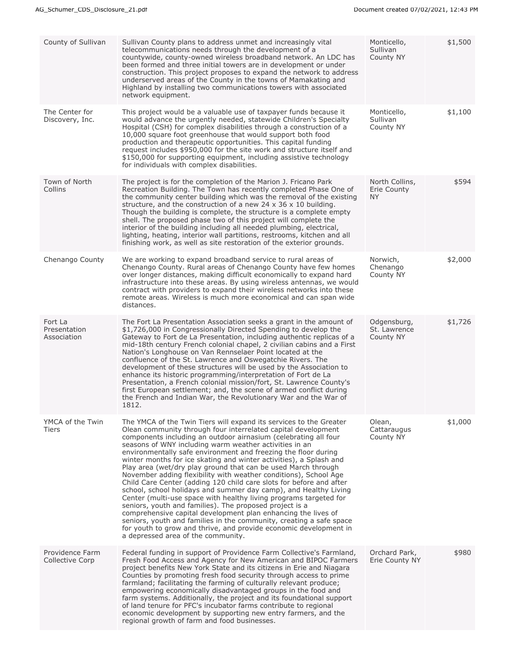| County of Sullivan                        | Sullivan County plans to address unmet and increasingly vital<br>telecommunications needs through the development of a<br>countywide, county-owned wireless broadband network. An LDC has<br>been formed and three initial towers are in development or under<br>construction. This project proposes to expand the network to address<br>underserved areas of the County in the towns of Mamakating and<br>Highland by installing two communications towers with associated<br>network equipment.                                                                                                                                                                                                                                                                                                                                                                                                                                                                                                                                                                           | Monticello,<br>Sullivan<br>County NY       | \$1,500 |
|-------------------------------------------|-----------------------------------------------------------------------------------------------------------------------------------------------------------------------------------------------------------------------------------------------------------------------------------------------------------------------------------------------------------------------------------------------------------------------------------------------------------------------------------------------------------------------------------------------------------------------------------------------------------------------------------------------------------------------------------------------------------------------------------------------------------------------------------------------------------------------------------------------------------------------------------------------------------------------------------------------------------------------------------------------------------------------------------------------------------------------------|--------------------------------------------|---------|
| The Center for<br>Discovery, Inc.         | This project would be a valuable use of taxpayer funds because it<br>would advance the urgently needed, statewide Children's Specialty<br>Hospital (CSH) for complex disabilities through a construction of a<br>10,000 square foot greenhouse that would support both food<br>production and therapeutic opportunities. This capital funding<br>request includes \$950,000 for the site work and structure itself and<br>\$150,000 for supporting equipment, including assistive technology<br>for individuals with complex disabilities.                                                                                                                                                                                                                                                                                                                                                                                                                                                                                                                                  | Monticello,<br>Sullivan<br>County NY       | \$1,100 |
| Town of North<br>Collins                  | The project is for the completion of the Marion J. Fricano Park<br>Recreation Building. The Town has recently completed Phase One of<br>the community center building which was the removal of the existing<br>structure, and the construction of a new 24 $\times$ 36 $\times$ 10 building.<br>Though the building is complete, the structure is a complete empty<br>shell. The proposed phase two of this project will complete the<br>interior of the building including all needed plumbing, electrical,<br>lighting, heating, interior wall partitions, restrooms, kitchen and all<br>finishing work, as well as site restoration of the exterior grounds.                                                                                                                                                                                                                                                                                                                                                                                                             | North Collins,<br>Erie County<br><b>NY</b> | \$594   |
| Chenango County                           | We are working to expand broadband service to rural areas of<br>Chenango County. Rural areas of Chenango County have few homes<br>over longer distances, making difficult economically to expand hard<br>infrastructure into these areas. By using wireless antennas, we would<br>contract with providers to expand their wireless networks into these<br>remote areas. Wireless is much more economical and can span wide<br>distances.                                                                                                                                                                                                                                                                                                                                                                                                                                                                                                                                                                                                                                    | Norwich,<br>Chenango<br>County NY          | \$2,000 |
| Fort La<br>Presentation<br>Association    | The Fort La Presentation Association seeks a grant in the amount of<br>\$1,726,000 in Congressionally Directed Spending to develop the<br>Gateway to Fort de La Presentation, including authentic replicas of a<br>mid-18th century French colonial chapel, 2 civilian cabins and a First<br>Nation's Longhouse on Van Rennselaer Point located at the<br>confluence of the St. Lawrence and Oswegatchie Rivers. The<br>development of these structures will be used by the Association to<br>enhance its historic programming/interpretation of Fort de La<br>Presentation, a French colonial mission/fort, St. Lawrence County's<br>first European settlement; and, the scene of armed conflict during<br>the French and Indian War, the Revolutionary War and the War of<br>1812.                                                                                                                                                                                                                                                                                        | Odgensburg,<br>St. Lawrence<br>County NY   | \$1,726 |
| YMCA of the Twin<br>Tiers                 | The YMCA of the Twin Tiers will expand its services to the Greater<br>Olean community through four interrelated capital development<br>components including an outdoor airnasium (celebrating all four<br>seasons of WNY including warm weather activities in an<br>environmentally safe environment and freezing the floor during<br>winter months for ice skating and winter activities), a Splash and<br>Play area (wet/dry play ground that can be used March through<br>November adding flexibility with weather conditions), School Age<br>Child Care Center (adding 120 child care slots for before and after<br>school, school holidays and summer day camp), and Healthy Living<br>Center (multi-use space with healthy living programs targeted for<br>seniors, youth and families). The proposed project is a<br>comprehensive capital development plan enhancing the lives of<br>seniors, youth and families in the community, creating a safe space<br>for youth to grow and thrive, and provide economic development in<br>a depressed area of the community. | Olean,<br>Cattaraugus<br>County NY         | \$1,000 |
| Providence Farm<br><b>Collective Corp</b> | Federal funding in support of Providence Farm Collective's Farmland,<br>Fresh Food Access and Agency for New American and BIPOC Farmers<br>project benefits New York State and its citizens in Erie and Niagara<br>Counties by promoting fresh food security through access to prime<br>farmland; facilitating the farming of culturally relevant produce;<br>empowering economically disadvantaged groups in the food and<br>farm systems. Additionally, the project and its foundational support<br>of land tenure for PFC's incubator farms contribute to regional<br>economic development by supporting new entry farmers, and the<br>regional growth of farm and food businesses.                                                                                                                                                                                                                                                                                                                                                                                      | Orchard Park,<br>Erie County NY            | \$980   |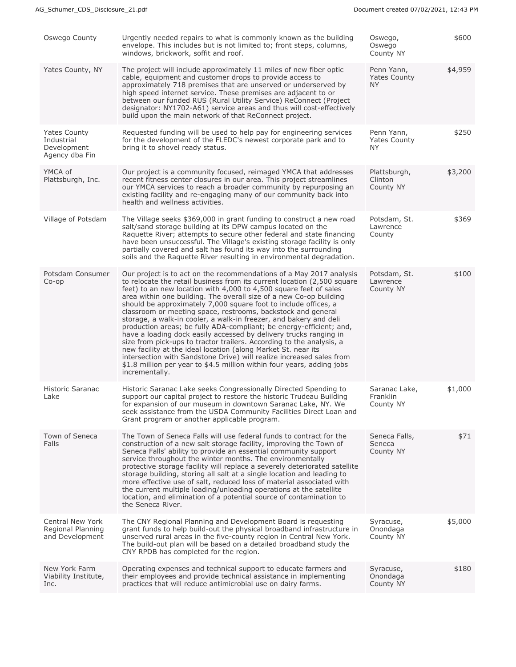| Oswego County                                                      | Urgently needed repairs to what is commonly known as the building<br>envelope. This includes but is not limited to; front steps, columns,<br>windows, brickwork, soffit and roof.                                                                                                                                                                                                                                                                                                                                                                                                                                                                                                                                                                                                                                                                                                                                                                          | Oswego,<br>Oswego<br>County NY                 | \$600   |
|--------------------------------------------------------------------|------------------------------------------------------------------------------------------------------------------------------------------------------------------------------------------------------------------------------------------------------------------------------------------------------------------------------------------------------------------------------------------------------------------------------------------------------------------------------------------------------------------------------------------------------------------------------------------------------------------------------------------------------------------------------------------------------------------------------------------------------------------------------------------------------------------------------------------------------------------------------------------------------------------------------------------------------------|------------------------------------------------|---------|
| Yates County, NY                                                   | The project will include approximately 11 miles of new fiber optic<br>cable, equipment and customer drops to provide access to<br>approximately 718 premises that are unserved or underserved by<br>high speed internet service. These premises are adjacent to or<br>between our funded RUS (Rural Utility Service) ReConnect (Project<br>designator: NY1702-A61) service areas and thus will cost-effectively<br>build upon the main network of that ReConnect project.                                                                                                                                                                                                                                                                                                                                                                                                                                                                                  | Penn Yann,<br><b>Yates County</b><br><b>NY</b> | \$4,959 |
| <b>Yates County</b><br>Industrial<br>Development<br>Agency dba Fin | Requested funding will be used to help pay for engineering services<br>for the development of the FLEDC's newest corporate park and to<br>bring it to shovel ready status.                                                                                                                                                                                                                                                                                                                                                                                                                                                                                                                                                                                                                                                                                                                                                                                 | Penn Yann,<br><b>Yates County</b><br>NY.       | \$250   |
| YMCA of<br>Plattsburgh, Inc.                                       | Our project is a community focused, reimaged YMCA that addresses<br>recent fitness center closures in our area. This project streamlines<br>our YMCA services to reach a broader community by repurposing an<br>existing facility and re-engaging many of our community back into<br>health and wellness activities.                                                                                                                                                                                                                                                                                                                                                                                                                                                                                                                                                                                                                                       | Plattsburgh,<br>Clinton<br>County NY           | \$3,200 |
| Village of Potsdam                                                 | The Village seeks \$369,000 in grant funding to construct a new road<br>salt/sand storage building at its DPW campus located on the<br>Raquette River; attempts to secure other federal and state financing<br>have been unsuccessful. The Village's existing storage facility is only<br>partially covered and salt has found its way into the surrounding<br>soils and the Raquette River resulting in environmental degradation.                                                                                                                                                                                                                                                                                                                                                                                                                                                                                                                        | Potsdam, St.<br>Lawrence<br>County             | \$369   |
| Potsdam Consumer<br>$Co$ -op                                       | Our project is to act on the recommendations of a May 2017 analysis<br>to relocate the retail business from its current location (2,500 square<br>feet) to an new location with 4,000 to 4,500 square feet of sales<br>area within one building. The overall size of a new Co-op building<br>should be approximately 7,000 square foot to include offices, a<br>classroom or meeting space, restrooms, backstock and general<br>storage, a walk-in cooler, a walk-in freezer, and bakery and deli<br>production areas; be fully ADA-compliant; be energy-efficient; and,<br>have a loading dock easily accessed by delivery trucks ranging in<br>size from pick-ups to tractor trailers. According to the analysis, a<br>new facility at the ideal location (along Market St. near its<br>intersection with Sandstone Drive) will realize increased sales from<br>\$1.8 million per year to \$4.5 million within four years, adding jobs<br>incrementally. | Potsdam, St.<br>Lawrence<br>County NY          | \$100   |
| Historic Saranac<br>Lake                                           | Historic Saranac Lake seeks Congressionally Directed Spending to<br>support our capital project to restore the historic Trudeau Building<br>for expansion of our museum in downtown Saranac Lake, NY. We<br>seek assistance from the USDA Community Facilities Direct Loan and<br>Grant program or another applicable program.                                                                                                                                                                                                                                                                                                                                                                                                                                                                                                                                                                                                                             | Saranac Lake,<br>Franklin<br>County NY         | \$1,000 |
| Town of Seneca<br>Falls                                            | The Town of Seneca Falls will use federal funds to contract for the<br>construction of a new salt storage facility, improving the Town of<br>Seneca Falls' ability to provide an essential community support<br>service throughout the winter months. The environmentally<br>protective storage facility will replace a severely deteriorated satellite<br>storage building, storing all salt at a single location and leading to<br>more effective use of salt, reduced loss of material associated with<br>the current multiple loading/unloading operations at the satellite<br>location, and elimination of a potential source of contamination to<br>the Seneca River.                                                                                                                                                                                                                                                                                | Seneca Falls,<br>Seneca<br>County NY           | \$71    |
| <b>Central New York</b><br>Regional Planning<br>and Development    | The CNY Regional Planning and Development Board is requesting<br>grant funds to help build-out the physical broadband infrastructure in<br>unserved rural areas in the five-county region in Central New York.<br>The build-out plan will be based on a detailed broadband study the<br>CNY RPDB has completed for the region.                                                                                                                                                                                                                                                                                                                                                                                                                                                                                                                                                                                                                             | Syracuse,<br>Onondaga<br>County NY             | \$5,000 |
| New York Farm<br>Viability Institute,<br>Inc.                      | Operating expenses and technical support to educate farmers and<br>their employees and provide technical assistance in implementing<br>practices that will reduce antimicrobial use on dairy farms.                                                                                                                                                                                                                                                                                                                                                                                                                                                                                                                                                                                                                                                                                                                                                        | Syracuse,<br>Onondaga<br>County NY             | \$180   |